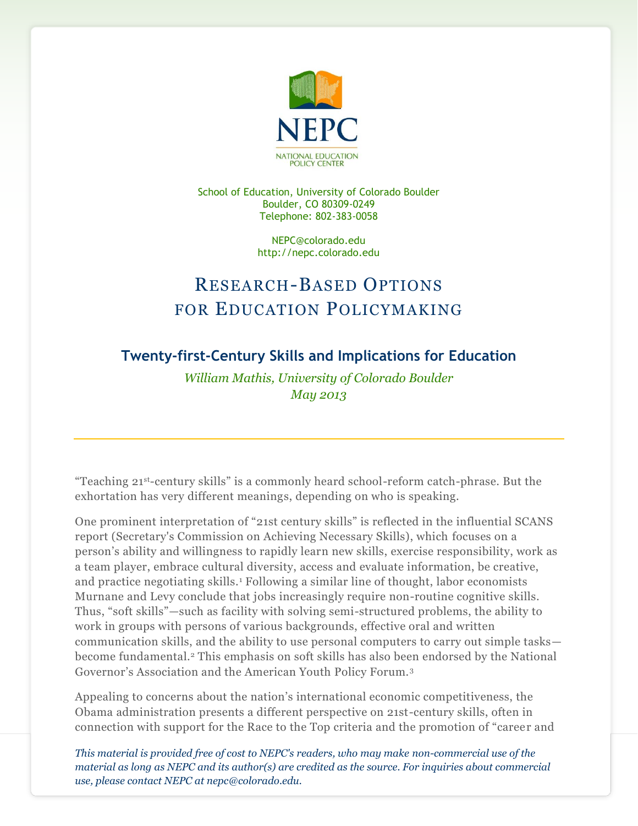

School of Education, University of Colorado Boulder Boulder, CO 80309-0249 Telephone: 802-383-0058

> NEPC@colorado.edu http://nepc.colorado.edu

## RESEARCH-BASED OPTIONS FOR EDUCATION POLICYMAKING

## **Twenty-first-Century Skills and Implications for Education**

*William Mathis, University of Colorado Boulder May 2013*

"Teaching 21st-century skills" is a commonly heard school-reform catch-phrase. But the exhortation has very different meanings, depending on who is speaking.

One prominent interpretation of "21st century skills" is reflected in the influential SCANS report (Secretary's Commission on Achieving Necessary Skills), which focuses on a person's ability and willingness to rapidly learn new skills, exercise responsibility, work as a team player, embrace cultural diversity, access and evaluate information, be creative, and practice negotiating skills.<sup>1</sup> Following a similar line of thought, labor economists Murnane and Levy conclude that jobs increasingly require non-routine cognitive skills. Thus, "soft skills"—such as facility with solving semi-structured problems, the ability to work in groups with persons of various backgrounds, effective oral and written communication skills, and the ability to use personal computers to carry out simple tasks become fundamental.<sup>2</sup> This emphasis on soft skills has also been endorsed by the National Governor's Association and the American Youth Policy Forum.<sup>3</sup>

Appealing to concerns about the nation's international economic competitiveness, the Obama administration presents a different perspective on 21st-century skills, often in connection with support for the Race to the Top criteria and the promotion of "career and

*This material is provided free of cost to NEPC's readers, who may make non-commercial use of the material as long as NEPC and its author(s) are credited as the source. For inquiries about commercial use, please contact NEPC at nepc@colorado.edu.*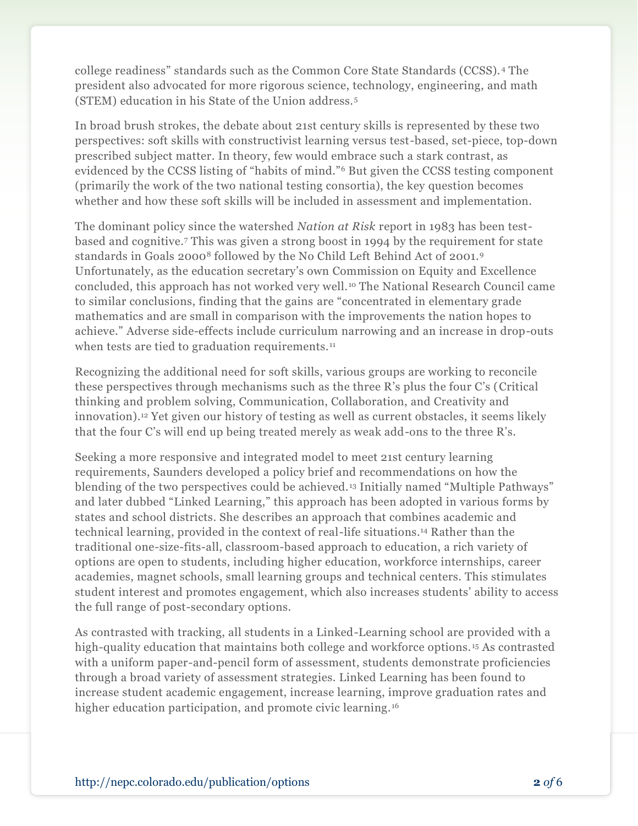college readiness" standards such as the Common Core State Standards (CCSS). <sup>4</sup> The president also advocated for more rigorous science, technology, engineering, and math (STEM) education in his State of the Union address.<sup>5</sup>

In broad brush strokes, the debate about 21st century skills is represented by these two perspectives: soft skills with constructivist learning versus test-based, set-piece, top-down prescribed subject matter. In theory, few would embrace such a stark contrast, as evidenced by the CCSS listing of "habits of mind."<sup>6</sup> But given the CCSS testing component (primarily the work of the two national testing consortia), the key question becomes whether and how these soft skills will be included in assessment and implementation.

The dominant policy since the watershed *Nation at Risk* report in 1983 has been testbased and cognitive.<sup>7</sup> This was given a strong boost in 1994 by the requirement for state standards in Goals 2000<sup>8</sup> followed by the No Child Left Behind Act of 2001.<sup>9</sup> Unfortunately, as the education secretary's own Commission on Equity and Excellence concluded, this approach has not worked very well. <sup>10</sup> The National Research Council came to similar conclusions, finding that the gains are "concentrated in elementary grade mathematics and are small in comparison with the improvements the nation hopes to achieve." Adverse side-effects include curriculum narrowing and an increase in drop-outs when tests are tied to graduation requirements.<sup>11</sup>

Recognizing the additional need for soft skills, various groups are working to reconcile these perspectives through mechanisms such as the three R's plus the four C's (Critical thinking and problem solving, Communication, Collaboration, and Creativity and innovation).<sup>12</sup> Yet given our history of testing as well as current obstacles, it seems likely that the four C's will end up being treated merely as weak add-ons to the three R's.

Seeking a more responsive and integrated model to meet 21st century learning requirements, Saunders developed a policy brief and recommendations on how the blending of the two perspectives could be achieved. <sup>13</sup> Initially named "Multiple Pathways" and later dubbed "Linked Learning," this approach has been adopted in various forms by states and school districts. She describes an approach that combines academic and technical learning, provided in the context of real-life situations.<sup>14</sup> Rather than the traditional one-size-fits-all, classroom-based approach to education, a rich variety of options are open to students, including higher education, workforce internships, career academies, magnet schools, small learning groups and technical centers. This stimulates student interest and promotes engagement, which also increases students' ability to access the full range of post-secondary options.

As contrasted with tracking, all students in a Linked-Learning school are provided with a high-quality education that maintains both college and workforce options. <sup>15</sup> As contrasted with a uniform paper-and-pencil form of assessment, students demonstrate proficiencies through a broad variety of assessment strategies. Linked Learning has been found to increase student academic engagement, increase learning, improve graduation rates and higher education participation, and promote civic learning.<sup>16</sup>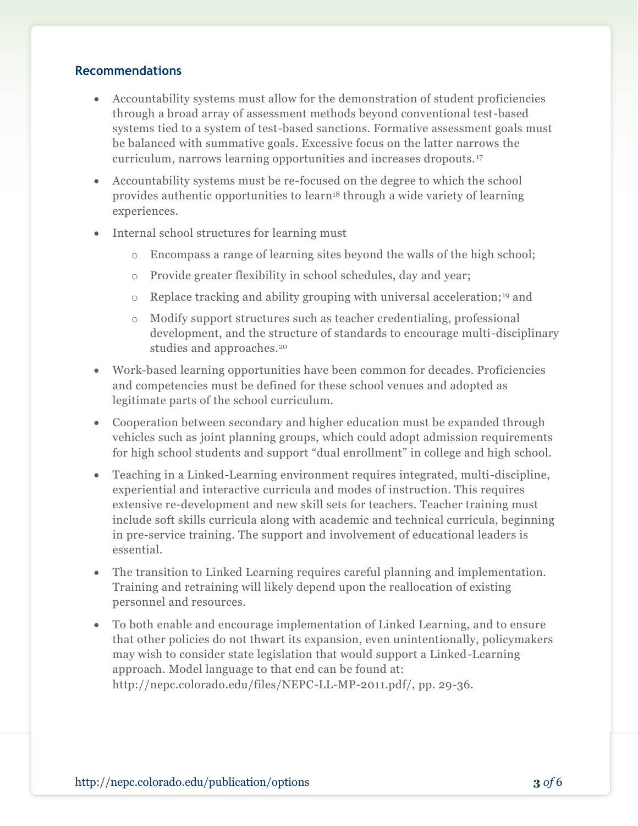## **Recommendations**

- Accountability systems must allow for the demonstration of student proficiencies through a broad array of assessment methods beyond conventional test-based systems tied to a system of test-based sanctions. Formative assessment goals must be balanced with summative goals. Excessive focus on the latter narrows the curriculum, narrows learning opportunities and increases dropouts. <sup>17</sup>
- Accountability systems must be re-focused on the degree to which the school provides authentic opportunities to learn<sup>18</sup> through a wide variety of learning experiences.
- Internal school structures for learning must
	- o Encompass a range of learning sites beyond the walls of the high school;
	- o Provide greater flexibility in school schedules, day and year;
	- $\circ$  Replace tracking and ability grouping with universal acceleration;<sup>19</sup> and
	- o Modify support structures such as teacher credentialing, professional development, and the structure of standards to encourage multi-disciplinary studies and approaches.<sup>20</sup>
- Work-based learning opportunities have been common for decades. Proficiencies and competencies must be defined for these school venues and adopted as legitimate parts of the school curriculum.
- Cooperation between secondary and higher education must be expanded through vehicles such as joint planning groups, which could adopt admission requirements for high school students and support "dual enrollment" in college and high school.
- Teaching in a Linked-Learning environment requires integrated, multi-discipline, experiential and interactive curricula and modes of instruction. This requires extensive re-development and new skill sets for teachers. Teacher training must include soft skills curricula along with academic and technical curricula, beginning in pre-service training. The support and involvement of educational leaders is essential.
- The transition to Linked Learning requires careful planning and implementation. Training and retraining will likely depend upon the reallocation of existing personnel and resources.
- To both enable and encourage implementation of Linked Learning, and to ensure that other policies do not thwart its expansion, even unintentionally, policymakers may wish to consider state legislation that would support a Linked-Learning approach. Model language to that end can be found at: http://nepc.colorado.edu/files/NEPC-LL-MP-2011.pdf/, pp. 29-36.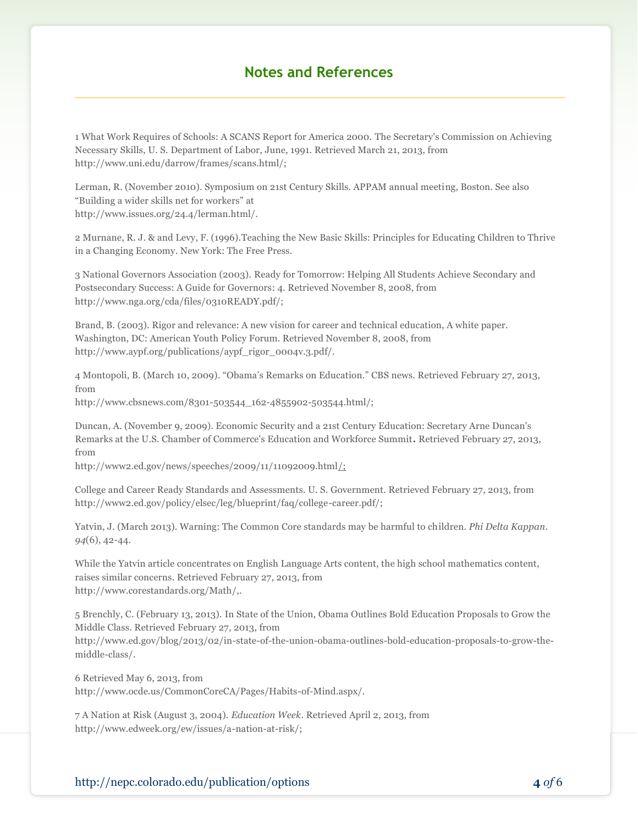## **Notes and References**

1 What Work Requires of Schools: A SCANS Report for America 2000. The Secretary's Commission on Achieving Necessary Skills, U. S. Department of Labor, June, 1991. Retrieved March 21, 2013, from http://www.uni.edu/darrow/frames/scans.html/;

Lerman, R. (November 2010). Symposium on 21st Century Skills. APPAM annual meeting, Boston. See also "Building a wider skills net for workers" at http://www.issues.org/24.4/lerman.html/.

2 Murnane, R. J. & and Levy, F. (1996).Teaching the New Basic Skills: Principles for Educating Children to Thrive in a Changing Economy. New York: The Free Press.

3 National Governors Association (2003). Ready for Tomorrow: Helping All Students Achieve Secondary and Postsecondary Success: A Guide for Governors: 4. Retrieved November 8, 2008, from http://www.nga.org/cda/files/0310READY.pdf/;

Brand, B. (2003). Rigor and relevance: A new vision for career and technical education, A white paper. Washington, DC: American Youth Policy Forum. Retrieved November 8, 2008, from http://www.aypf.org/publications/aypf\_rigor\_0004v.3.pdf/.

4 Montopoli, B. (March 10, 2009). "Obama's Remarks on Education." CBS news. Retrieved February 27, 2013, from

http://www.cbsnews.com/8301-503544\_162-4855902-503544.html/;

Duncan, A. (November 9, 2009). Economic Security and a 21st Century Education: Secretary Arne Duncan's Remarks at the U.S. Chamber of Commerce's Education and Workforce Summit**.** Retrieved February 27, 2013, from

http://www2.ed.gov/news/speeches/2009/11/11092009.html $\frac{1}{2}$ 

College and Career Ready Standards and Assessments. U. S. Government. Retrieved February 27, 2013, from http://www2.ed.gov/policy/elsec/leg/blueprint/faq/college-career.pdf/;

Yatvin, J. (March 2013). Warning: The Common Core standards may be harmful to children. *Phi Delta Kappan*. *94*(6), 42-44.

While the Yatvin article concentrates on English Language Arts content, the high school mathematics content, raises similar concerns. Retrieved February 27, 2013, from http://www.corestandards.org/Math/,.

5 Brenchly, C. (February 13, 2013). In State of the Union, Obama Outlines Bold Education Proposals to Grow the Middle Class. Retrieved February 27, 2013, from http://www.ed.gov/blog/2013/02/in-state-of-the-union-obama-outlines-bold-education-proposals-to-grow-the-

6 Retrieved May 6, 2013, from

middle-class/.

http://www.ocde.us/CommonCoreCA/Pages/Habits-of-Mind.aspx/.

7 A Nation at Risk (August 3, 2004). *Education Week*. Retrieved April 2, 2013, from http://www.edweek.org/ew/issues/a-nation-at-risk/;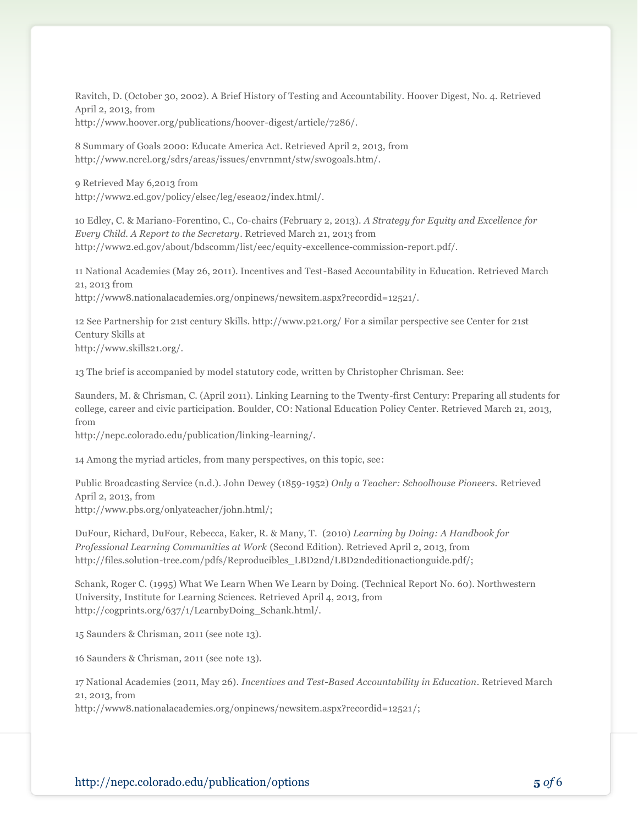Ravitch, D. (October 30, 2002). A Brief History of Testing and Accountability. Hoover Digest, No. 4. Retrieved April 2, 2013, from http://www.hoover.org/publications/hoover-digest/article/7286/.

8 Summary of Goals 2000: Educate America Act. Retrieved April 2, 2013, from http://www.ncrel.org/sdrs/areas/issues/envrnmnt/stw/sw0goals.htm/.

9 Retrieved May 6,2013 from http://www2.ed.gov/policy/elsec/leg/esea02/index.html/.

10 Edley, C. & Mariano-Forentino, C., Co-chairs (February 2, 2013). *A Strategy for Equity and Excellence for Every Child. A Report to the Secretary*. Retrieved March 21, 2013 from http://www2.ed.gov/about/bdscomm/list/eec/equity-excellence-commission-report.pdf/.

11 National Academies (May 26, 2011). Incentives and Test-Based Accountability in Education. Retrieved March 21, 2013 from

http://www8.nationalacademies.org/onpinews/newsitem.aspx?recordid=12521/.

12 See Partnership for 21st century Skills. http://www.p21.org/ For a similar perspective see Center for 21st Century Skills at http://www.skills21.org/.

13 The brief is accompanied by model statutory code, written by Christopher Chrisman. See:

Saunders, M. & Chrisman, C. (April 2011). Linking Learning to the Twenty-first Century: Preparing all students for college, career and civic participation. Boulder, CO: National Education Policy Center. Retrieved March 21, 2013, from

http://nepc.colorado.edu/publication/linking-learning/.

14 Among the myriad articles, from many perspectives, on this topic, see:

Public Broadcasting Service (n.d.). John Dewey (1859-1952) *Only a Teacher: Schoolhouse Pioneers.* Retrieved April 2, 2013, from http://www.pbs.org/onlyateacher/john.html/;

DuFour, Richard, DuFour, Rebecca, Eaker, R. & Many, T. (2010) *Learning by Doing: A Handbook for Professional Learning Communities at Work* (Second Edition). Retrieved April 2, 2013, from http://files.solution-tree.com/pdfs/Reproducibles\_LBD2nd/LBD2ndeditionactionguide.pdf/;

Schank, Roger C. (1995) What We Learn When We Learn by Doing. (Technical Report No. 60). Northwestern University, Institute for Learning Sciences. Retrieved April 4, 2013, from http://cogprints.org/637/1/LearnbyDoing\_Schank.html/.

15 Saunders & Chrisman, 2011 (see note 13).

16 Saunders & Chrisman, 2011 (see note 13).

17 National Academies (2011, May 26). *Incentives and Test-Based Accountability in Education*. Retrieved March 21, 2013, from

http://www8.nationalacademies.org/onpinews/newsitem.aspx?recordid=12521/;